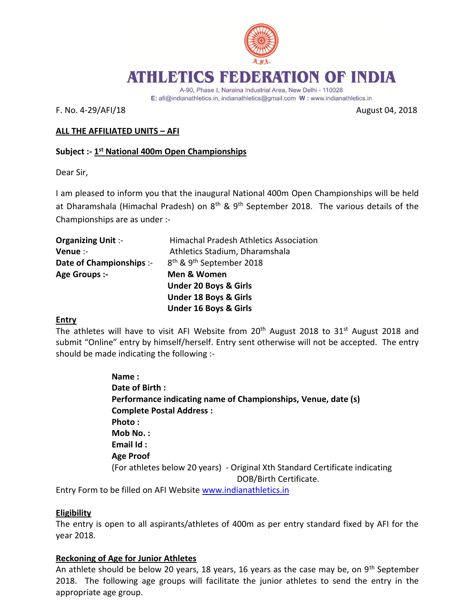

# ATHLETICS FEDERATION OF INDIA

A-90, Phase I, Naraina Industrial Area, New Delhi - 110028

E: afi@indianathletics.in, indianathletics@gmail.com W: www.indianathletics.in

F. No. 4-29/AFI/18 August 04, 2018

# **ALL THE AFFILIATED UNITS – AFI**

## **Subject :- 1 st National 400m Open Championships**

Dear Sir,

I am pleased to inform you that the inaugural National 400m Open Championships will be held at Dharamshala (Himachal Pradesh) on  $8<sup>th</sup>$  & 9<sup>th</sup> September 2018. The various details of the Championships are as under :-

| <b>Organizing Unit:-</b> | <b>Himachal Pradesh Athletics Association</b>    |
|--------------------------|--------------------------------------------------|
| Venue :-                 | Athletics Stadium, Dharamshala                   |
| Date of Championships :- | 8 <sup>th</sup> & 9 <sup>th</sup> September 2018 |
| Age Groups :-            | Men & Women                                      |
|                          | <b>Under 20 Boys &amp; Girls</b>                 |
|                          | <b>Under 18 Boys &amp; Girls</b>                 |
|                          | <b>Under 16 Boys &amp; Girls</b>                 |
|                          |                                                  |

### **Entry**

The athletes will have to visit AFI Website from  $20<sup>th</sup>$  August 2018 to 31<sup>st</sup> August 2018 and submit "Online" entry by himself/herself. Entry sent otherwise will not be accepted. The entry should be made indicating the following :-

> **Name : Date of Birth : Performance indicating name of Championships, Venue, date (s) Complete Postal Address : Photo : Mob No. : Email Id : Age Proof**  (For athletes below 20 years) - Original Xth Standard Certificate indicating DOB/Birth Certificate.

Entry Form to be filled on AFI Website [www.indianathletics.in](http://www.indianathletics.in/)

### **Eligibility**

The entry is open to all aspirants/athletes of 400m as per entry standard fixed by AFI for the year 2018.

### **Reckoning of Age for Junior Athletes**

An athlete should be below 20 years, 18 years, 16 years as the case may be, on  $9<sup>th</sup>$  September 2018. The following age groups will facilitate the junior athletes to send the entry in the appropriate age group.